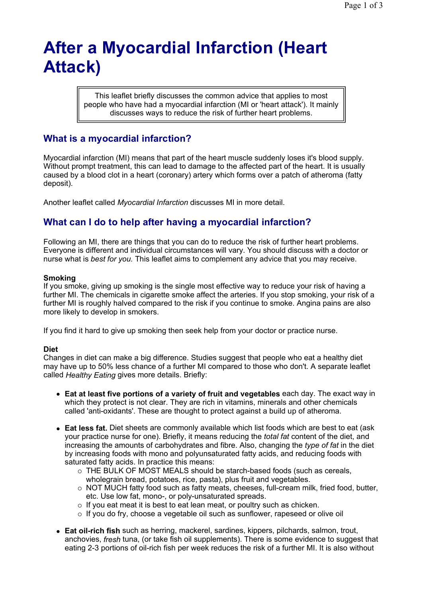# **After a Myocardial Infarction (Heart Attack)**

This leaflet briefly discusses the common advice that applies to most people who have had a myocardial infarction (MI or 'heart attack'). It mainly discusses ways to reduce the risk of further heart problems.

## **What is a myocardial infarction?**

Myocardial infarction (MI) means that part of the heart muscle suddenly loses it's blood supply. Without prompt treatment, this can lead to damage to the affected part of the heart. It is usually caused by a blood clot in a heart (coronary) artery which forms over a patch of atheroma (fatty deposit).

Another leaflet called *Myocardial Infarction* discusses MI in more detail.

## **What can I do to help after having a myocardial infarction?**

Following an MI, there are things that you can do to reduce the risk of further heart problems. Everyone is different and individual circumstances will vary. You should discuss with a doctor or nurse what is *best for you.* This leaflet aims to complement any advice that you may receive.

#### **Smoking**

If you smoke, giving up smoking is the single most effective way to reduce your risk of having a further MI. The chemicals in cigarette smoke affect the arteries. If you stop smoking, your risk of a further MI is roughly halved compared to the risk if you continue to smoke. Angina pains are also more likely to develop in smokers.

If you find it hard to give up smoking then seek help from your doctor or practice nurse.

### **Diet**

Changes in diet can make a big difference. Studies suggest that people who eat a healthy diet may have up to 50% less chance of a further MI compared to those who don't. A separate leaflet called *Healthy Eating* gives more details. Briefly:

- **Eat at least five portions of a variety of fruit and vegetables** each day. The exact way in which they protect is not clear. They are rich in vitamins, minerals and other chemicals called 'anti-oxidants'. These are thought to protect against a build up of atheroma.
- **Eat less fat.** Diet sheets are commonly available which list foods which are best to eat (ask your practice nurse for one). Briefly, it means reducing the *total fat* content of the diet, and increasing the amounts of carbohydrates and fibre. Also, changing the *type of fat* in the diet by increasing foods with mono and polyunsaturated fatty acids, and reducing foods with saturated fatty acids. In practice this means:
	- THE BULK OF MOST MEALS should be starch-based foods (such as cereals, wholegrain bread, potatoes, rice, pasta), plus fruit and vegetables.
	- $\circ$  NOT MUCH fatty food such as fatty meats, cheeses, full-cream milk, fried food, butter, etc. Use low fat, mono-, or poly-unsaturated spreads.
	- $\circ$  If you eat meat it is best to eat lean meat, or poultry such as chicken.
	- $\circ$  If you do fry, choose a vegetable oil such as sunflower, rapeseed or olive oil
- **Eat oil-rich fish** such as herring, mackerel, sardines, kippers, pilchards, salmon, trout, anchovies, *fresh* tuna, (or take fish oil supplements). There is some evidence to suggest that eating 2-3 portions of oil-rich fish per week reduces the risk of a further MI. It is also without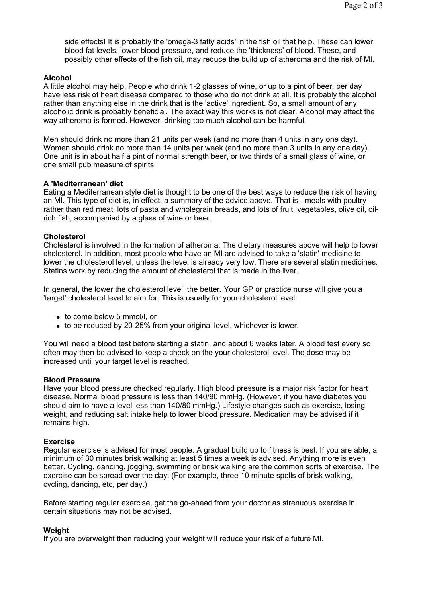side effects! It is probably the 'omega-3 fatty acids' in the fish oil that help. These can lower blood fat levels, lower blood pressure, and reduce the 'thickness' of blood. These, and possibly other effects of the fish oil, may reduce the build up of atheroma and the risk of MI.

#### **Alcohol**

A little alcohol may help. People who drink 1-2 glasses of wine, or up to a pint of beer, per day have less risk of heart disease compared to those who do not drink at all. It is probably the alcohol rather than anything else in the drink that is the 'active' ingredient. So, a small amount of any alcoholic drink is probably beneficial. The exact way this works is not clear. Alcohol may affect the way atheroma is formed. However, drinking too much alcohol can be harmful.

Men should drink no more than 21 units per week (and no more than 4 units in any one day). Women should drink no more than 14 units per week (and no more than 3 units in any one day). One unit is in about half a pint of normal strength beer, or two thirds of a small glass of wine, or one small pub measure of spirits.

#### **A 'Mediterranean' diet**

Eating a Mediterranean style diet is thought to be one of the best ways to reduce the risk of having an MI. This type of diet is, in effect, a summary of the advice above. That is - meals with poultry rather than red meat, lots of pasta and wholegrain breads, and lots of fruit, vegetables, olive oil, oilrich fish, accompanied by a glass of wine or beer.

#### **Cholesterol**

Cholesterol is involved in the formation of atheroma. The dietary measures above will help to lower cholesterol. In addition, most people who have an MI are advised to take a 'statin' medicine to lower the cholesterol level, unless the level is already very low. There are several statin medicines. Statins work by reducing the amount of cholesterol that is made in the liver.

In general, the lower the cholesterol level, the better. Your GP or practice nurse will give you a 'target' cholesterol level to aim for. This is usually for your cholesterol level:

- to come below 5 mmol/l, or
- to be reduced by 20-25% from your original level, whichever is lower.

You will need a blood test before starting a statin, and about 6 weeks later. A blood test every so often may then be advised to keep a check on the your cholesterol level. The dose may be increased until your target level is reached.

#### **Blood Pressure**

Have your blood pressure checked regularly. High blood pressure is a major risk factor for heart disease. Normal blood pressure is less than 140/90 mmHg. (However, if you have diabetes you should aim to have a level less than 140/80 mmHg.) Lifestyle changes such as exercise, losing weight, and reducing salt intake help to lower blood pressure. Medication may be advised if it remains high.

#### **Exercise**

Regular exercise is advised for most people. A gradual build up to fitness is best. If you are able, a minimum of 30 minutes brisk walking at least 5 times a week is advised. Anything more is even better. Cycling, dancing, jogging, swimming or brisk walking are the common sorts of exercise. The exercise can be spread over the day. (For example, three 10 minute spells of brisk walking, cycling, dancing, etc, per day.)

Before starting regular exercise, get the go-ahead from your doctor as strenuous exercise in certain situations may not be advised.

#### **Weight**

If you are overweight then reducing your weight will reduce your risk of a future MI.